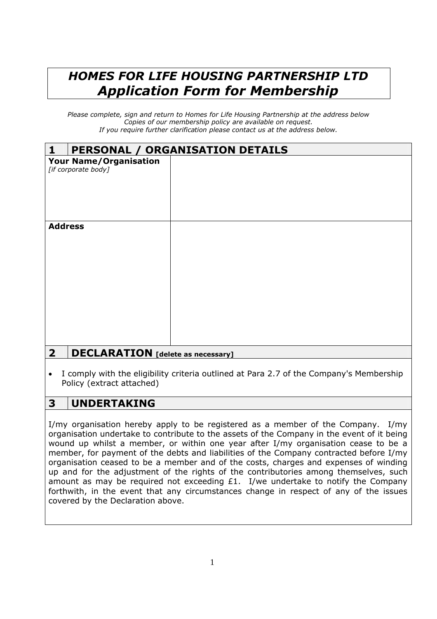## *HOMES FOR LIFE HOUSING PARTNERSHIP LTD Application Form for Membership*

*Please complete, sign and return to Homes for Life Housing Partnership at the address below Copies of our membership policy are available on request. If you require further clarification please contact us at the address below.*

| PERSONAL / ORGANISATION DETAILS<br>$\mathbf{1}$                     |  |  |
|---------------------------------------------------------------------|--|--|
| <b>Your Name/Organisation</b><br>[if corporate body]                |  |  |
| <b>Address</b>                                                      |  |  |
| $\overline{\mathbf{2}}$<br><b>DECLARATION</b> [delete as necessary] |  |  |

 I comply with the eligibility criteria outlined at Para 2.7 of the Company's Membership Policy (extract attached)

## **3 UNDERTAKING**

I/my organisation hereby apply to be registered as a member of the Company. I/my organisation undertake to contribute to the assets of the Company in the event of it being wound up whilst a member, or within one year after I/my organisation cease to be a member, for payment of the debts and liabilities of the Company contracted before I/my organisation ceased to be a member and of the costs, charges and expenses of winding up and for the adjustment of the rights of the contributories among themselves, such amount as may be required not exceeding £1. I/we undertake to notify the Company forthwith, in the event that any circumstances change in respect of any of the issues covered by the Declaration above.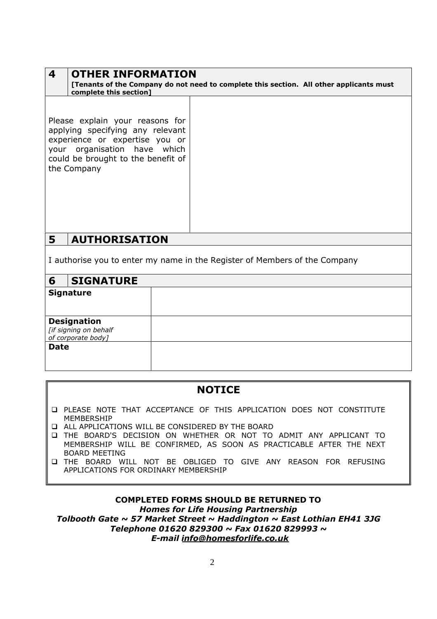| 4<br><b>OTHER INFORMATION</b><br>complete this section]                                                                                                                                    | [Tenants of the Company do not need to complete this section. All other applicants must |
|--------------------------------------------------------------------------------------------------------------------------------------------------------------------------------------------|-----------------------------------------------------------------------------------------|
| Please explain your reasons for<br>applying specifying any relevant<br>experience or expertise you or<br>your organisation have which<br>could be brought to the benefit of<br>the Company |                                                                                         |
| 5<br><b>AUTHORISATION</b>                                                                                                                                                                  |                                                                                         |

I authorise you to enter my name in the Register of Members of the Company

| 6           | <b>SIGNATURE</b>                            |  |
|-------------|---------------------------------------------|--|
|             | <b>Signature</b>                            |  |
|             |                                             |  |
|             | <b>Designation</b>                          |  |
|             | [if signing on behalf<br>of corporate body] |  |
| <b>Date</b> |                                             |  |
|             |                                             |  |
|             |                                             |  |

| <b>NOTICE</b>                                                                              |
|--------------------------------------------------------------------------------------------|
| <b>Q PLEASE NOTE THAT ACCEPTANCE OF THIS APPLICATION DOES NOT CONSTITUTE</b><br>MEMBERSHIP |
| □ ALL APPLICATIONS WILL BE CONSIDERED BY THE BOARD                                         |
| □ THE BOARD'S DECISION ON WHETHER OR NOT TO ADMIT ANY APPLICANT TO                         |
| MEMBERSHIP WILL BE CONFIRMED, AS SOON AS PRACTICABLE AFTER THE NEXT                        |
| <b>BOARD MEETING</b>                                                                       |
| THE BOARD WILL NOT BE OBLIGED TO GIVE ANY REASON FOR REFUSING                              |

# APPLICATIONS FOR ORDINARY MEMBERSHIP

#### **COMPLETED FORMS SHOULD BE RETURNED TO** *Homes for Life Housing Partnership Tolbooth Gate ~ 57 Market Street ~ Haddington ~ East Lothian EH41 3JG Telephone 01620 829300 ~ Fax 01620 829993 ~ E-mail info@homesforlife.co.uk*